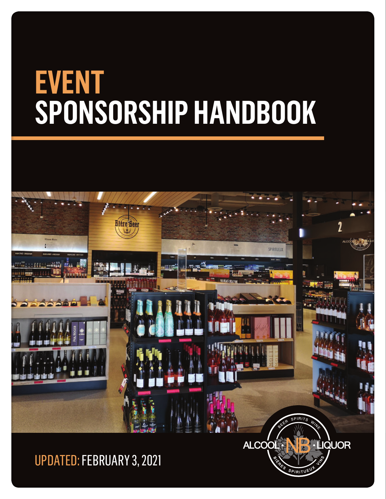

### UPDATED: FEBRUARY 3, 2021

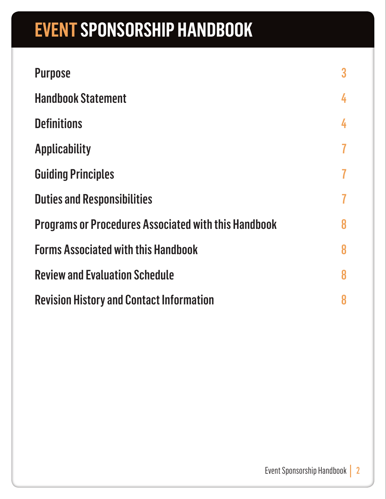| <b>Purpose</b>                                              | $\bf{3}$ |
|-------------------------------------------------------------|----------|
| <b>Handbook Statement</b>                                   | 4        |
| <b>Definitions</b>                                          | 4        |
| <b>Applicability</b>                                        | 7        |
| <b>Guiding Principles</b>                                   | 7        |
| <b>Duties and Responsibilities</b>                          | 7        |
| <b>Programs or Procedures Associated with this Handbook</b> |          |
| <b>Forms Associated with this Handbook</b>                  |          |
| <b>Review and Evaluation Schedule</b>                       |          |
| <b>Revision History and Contact Information</b>             |          |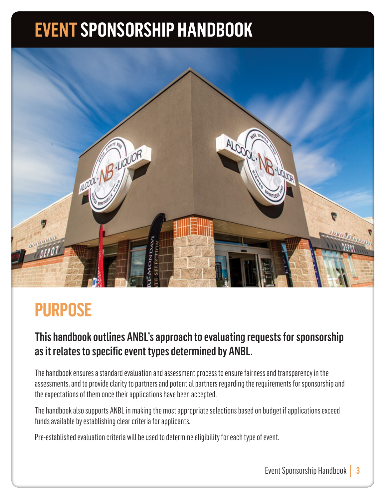

### **PURPOSE**

#### This handbook outlines ANBL's approach to evaluating requests for sponsorship as it relates to specific event types determined by ANBL.

The handbook ensures a standard evaluation and assessment process to ensure fairness and transparency in the assessments, and to provide clarity to partners and potential partners regarding the requirements for sponsorship and the expectations of them once their applications have been accepted.

The handbook also supports ANBL in making the most appropriate selections based on budget if applications exceed funds available by establishing clear criteria for applicants.

Pre-established evaluation criteria will be used to determine eligibility for each type of event.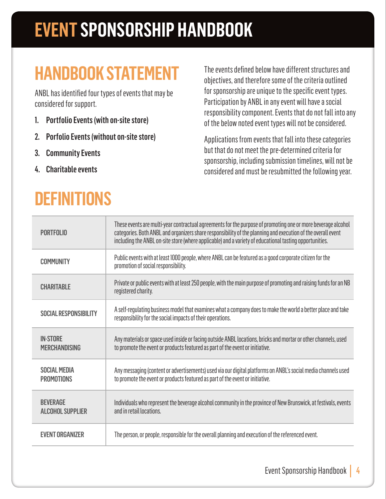### **HANDBOOK STATEMENT**

ANBL has identified four types of events that may be considered for support.

- 1. Portfolio Events (with on-site store)
- 2. Porfolio Events (without on-site store)
- 3. Community Events
- 4. Charitable events

### **DEFINITIONS**

The events defined below have different structures and objectives, and therefore some of the criteria outlined for sponsorship are unique to the specific event types. Participation by ANBL in any event will have a social responsibility component. Events that do not fall into any of the below noted event types will not be considered.

Applications from events that fall into these categories but that do not meet the pre-determined criteria for sponsorship, including submission timelines, will not be considered and must be resubmitted the following year.

| <b>PORTFOLIO</b>                           | These events are multi-year contractual agreements for the purpose of promoting one or more beverage alcohol<br>categories. Both ANBL and organizers share responsibility of the planning and execution of the overall event<br>including the ANBL on-site store (where applicable) and a variety of educational tasting opportunities. |
|--------------------------------------------|-----------------------------------------------------------------------------------------------------------------------------------------------------------------------------------------------------------------------------------------------------------------------------------------------------------------------------------------|
| <b>COMMUNITY</b>                           | Public events with at least 1000 people, where ANBL can be featured as a good corporate citizen for the<br>promotion of social responsibility.                                                                                                                                                                                          |
| <b>CHARITABLE</b>                          | Private or public events with at least 250 people, with the main purpose of promoting and raising funds for an NB<br>registered charity.                                                                                                                                                                                                |
| <b>SOCIAL RESPONSIBILITY</b>               | A self-regulating business model that examines what a company does to make the world a better place and take<br>responsibility for the social impacts of their operations.                                                                                                                                                              |
| <b>IN-STORE</b><br><b>MERCHANDISING</b>    | Any materials or space used inside or facing outside ANBL locations, bricks and mortar or other channels, used<br>to promote the event or products featured as part of the event or initiative.                                                                                                                                         |
| <b>SOCIAL MEDIA</b><br><b>PROMOTIONS</b>   | Any messaging (content or advertisements) used via our digital platforms on ANBL's social media channels used<br>to promote the event or products featured as part of the event or initiative.                                                                                                                                          |
| <b>BEVERAGE</b><br><b>ALCOHOL SUPPLIER</b> | Individuals who represent the beverage alcohol community in the province of New Brunswick, at festivals, events<br>and in retail locations.                                                                                                                                                                                             |
| <b>EVENT ORGANIZER</b>                     | The person, or people, responsible for the overall planning and execution of the referenced event.                                                                                                                                                                                                                                      |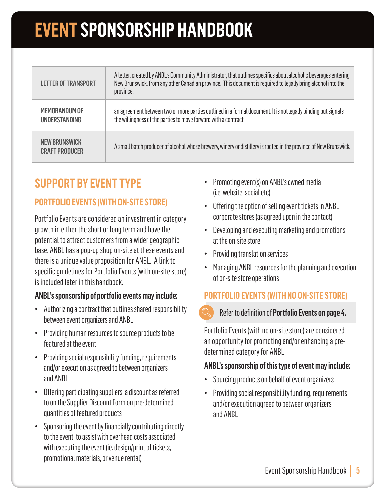| <b>LETTER OF TRANSPORT</b>                    | A letter, created by ANBL's Community Administrator, that outlines specifics about alcoholic beverages entering<br>New Brunswick, from any other Canadian province. This document is required to legally bring alcohol into the<br>province. |
|-----------------------------------------------|----------------------------------------------------------------------------------------------------------------------------------------------------------------------------------------------------------------------------------------------|
| MEMORANDUM OF<br><b>UNDERSTANDING</b>         | an agreement between two or more parties outlined in a formal document. It is not legally binding but signals<br>the willingness of the parties to move forward with a contract.                                                             |
| <b>NEW BRUNSWICK</b><br><b>CRAFT PRODUCER</b> | A small batch producer of alcohol whose brewery, winery or distillery is rooted in the province of New Brunswick.                                                                                                                            |

#### **SUPPORT BY EVENT TYPE**

#### **PORTFOLIO EVENTS (WITH ON-SITE STORE)**

Portfolio Events are considered an investment in category growth in either the short or long term and have the potential to attract customers from a wider geographic base. ANBL has a pop-up shop on-site at these events and there is a unique value proposition for ANBL. A link to specific guidelines for Portfolio Events (with on-site store) is included later in this handbook.

#### ANBL's sponsorship of portfolio events may include:

- Authorizing a contract that outlines shared responsibility between event organizers and ANBL
- Providing human resources to source products to be featured at the event
- Providing social responsibility funding, requirements and/or execution as agreed to between organizers and ANBL
- Offering participating suppliers, a discount as referred to on the Supplier Discount Form on pre-determined quantities of featured products
- Sponsoring the event by financially contributing directly to the event, to assist with overhead costs associated with executing the event (ie. design/print of tickets, promotional materials, or venue rental)
- Promoting event(s) on ANBL's owned media (i.e. website, social etc)
- Offering the option of selling event tickets in ANBL corporate stores (as agreed upon in the contact)
- Developing and executing marketing and promotions at the on-site store
- Providing translation services
- Managing ANBL resources for the planning and execution of on-site store operations

#### **PORTFOLIO EVENTS (WITH NO ON-SITE STORE)**

#### Refer to definition of Portfolio Events on page 4.

Portfolio Events (with no on-site store) are considered an opportunity for promoting and/or enhancing a predetermined category for ANBL.

#### ANBL's sponsorship of this type of event may include:

- Sourcing products on behalf of event organizers
- Providing social responsibility funding, requirements and/or execution agreed to between organizers and ANBL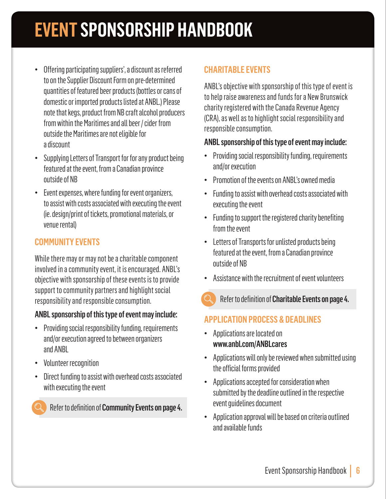- Offering participating suppliers', a discount as referred to on the Supplier Discount Form on pre-determined quantities of featured beer products (bottles or cans of domestic or imported products listed at ANBL.) Please note that kegs, product from NB craft alcohol producers from within the Maritimes and all beer / cider from outside the Maritimes are not eligible for a discount
- Supplying Letters of Transport for for any product being featured at the event, from a Canadian province outside of NB
- Event expenses, where funding for event organizers, to assist with costs associated with executing the event (ie. design/print of tickets, promotional materials, or venue rental)

#### **COMMUNITY EVENTS**

While there may or may not be a charitable component involved in a community event, it is encouraged. ANBL's objective with sponsorship of these events is to provide support to community partners and highlight social responsibility and responsible consumption.

#### ANBL sponsorship of this type of event may include:

- Providing social responsibility funding, requirements and/or execution agreed to between organizers and ANBL
- Volunteer recognition
- Direct funding to assist with overhead costs associated with executing the event

Refer to definition of Community Events on page 4.

#### **CHARITABLE EVENTS**

ANBL's objective with sponsorship of this type of event is to help raise awareness and funds for a New Brunswick charity registered with the Canada Revenue Agency (CRA), as well as to highlight social responsibility and responsible consumption.

#### ANBL sponsorship of this type of event may include:

- Providing social responsibility funding, requirements and/or execution
- Promotion of the events on ANBL's owned media
- Funding to assist with overhead costs associated with executing the event
- Funding to support the registered charity benefiting from the event
- Letters of Transports for unlisted products being featured at the event, from a Canadian province outside of NB
- Assistance with the recruitment of event volunteers
- Refer to definition of Charitable Events on page 4.

#### **APPLICATION PROCESS & DEADLINES**

- Applications are located on www.anbl.com/ANBLcares
- Applications will only be reviewed when submitted using the official forms provided
- Applications accepted for consideration when submitted by the deadline outlined in the respective event guidelines document
- Application approval will be based on criteria outlined and available funds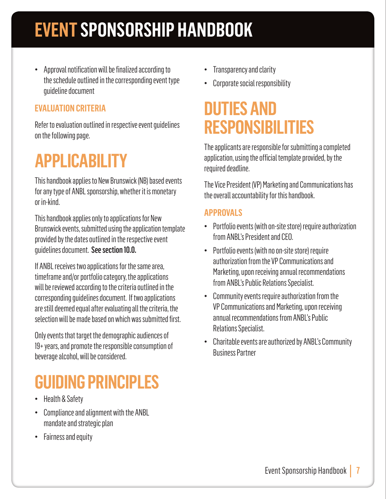• Approval notification will be finalized according to the schedule outlined in the corresponding event type guideline document

#### **EVALUATION CRITERIA**

Refer to evaluation outlined in respective event guidelines on the following page.

### **APPLICABILITY**

This handbook applies to New Brunswick (NB) based events for any type of ANBL sponsorship, whether it is monetary or in-kind.

This handbook applies only to applications for New Brunswick events, submitted using the application template provided by the dates outlined in the respective event guidelines document. See section 10.0.

If ANBL receives two applications for the same area, timeframe and/or portfolio category, the applications will be reviewed according to the criteria outlined in the corresponding guidelines document. If two applications are still deemed equal after evaluating all the criteria, the selection will be made based on which was submitted first.

Only events that target the demographic audiences of 19+ years, and promote the responsible consumption of beverage alcohol, will be considered.

### **GUIDING PRINCIPLES**

- Health & Safety
- Compliance and alignment with the ANBL mandate and strategic plan
- Fairness and equity
- Transparency and clarity
- Corporate social responsibility

### **DUTIES AND RESPONSIBILITIES**

The applicants are responsible for submitting a completed application, using the official template provided, by the required deadline.

The Vice President (VP) Marketing and Communications has the overall accountability for this handbook.

#### **APPROVALS**

- Portfolio events (with on-site store) require authorization from ANBL's President and CEO.
- Portfolio events (with no on-site store) require authorization from the VP Communications and Marketing, upon receiving annual recommendations from ANBL's Public Relations Specialist.
- Community events require authorization from the VP Communications and Marketing, upon receiving annual recommendations from ANBL's Public Relations Specialist.
- Charitable events are authorized by ANBL's Community Business Partner